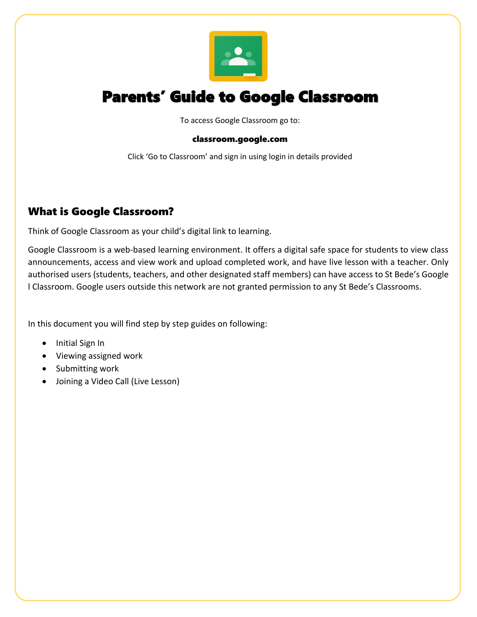

# Parents' Guide to Google Classroom

To access Google Classroom go to:

#### classroom.google.com

Click 'Go to Classroom' and sign in using login in details provided

#### What is Google Classroom?

Think of Google Classroom as your child's digital link to learning.

Google Classroom is a web-based learning environment. It offers a digital safe space for students to view class announcements, access and view work and upload completed work, and have live lesson with a teacher. Only authorised users (students, teachers, and other designated staff members) can have access to St Bede's Google l Classroom. Google users outside this network are not granted permission to any St Bede's Classrooms.

In this document you will find step by step guides on following:

- Initial Sign In
- Viewing assigned work
- Submitting work
- Joining a Video Call (Live Lesson)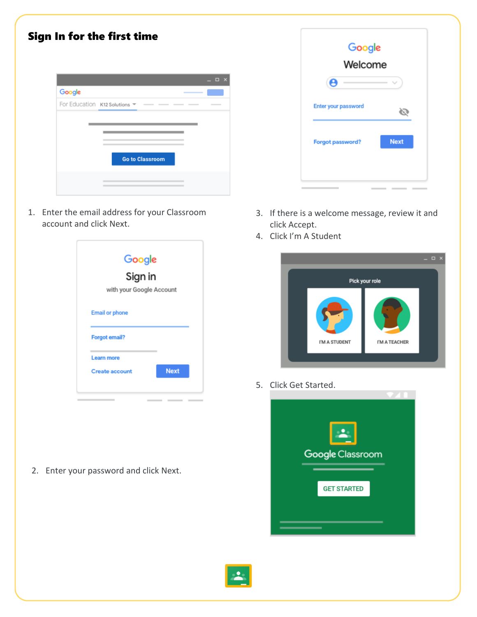| Sign In for the first time  |                        |  |
|-----------------------------|------------------------|--|
|                             |                        |  |
| Google                      |                        |  |
| For Education K12 Solutions |                        |  |
|                             |                        |  |
|                             |                        |  |
|                             | <b>Go to Classroom</b> |  |
|                             |                        |  |
|                             |                        |  |
|                             |                        |  |

1. Enter the email address for your Classroom account and click Next.

| Google                   |             |
|--------------------------|-------------|
| Sign in                  |             |
| with your Google Account |             |
| <b>Email or phone</b>    |             |
| <b>Forgot email?</b>     |             |
| <b>Learn more</b>        |             |
| Create account           | <b>Next</b> |

2. Enter your password and click Next.

| Welcome             |             |
|---------------------|-------------|
| е                   |             |
| Enter your password |             |
| Forgot password?    | <b>Next</b> |

- 3. If there is a welcome message, review it and click Accept.
- 4. Click I'm A Student



5. Click Get Started.



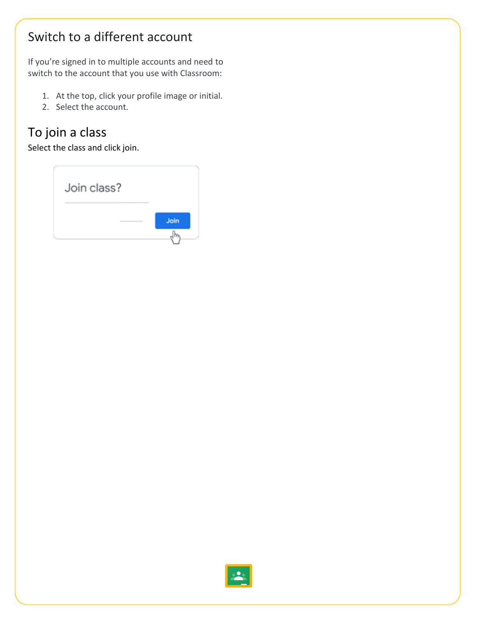## Switch to a different account

If you're signed in to multiple accounts and need to switch to the account that you use with Classroom:

- 1. At the top, click your profile image or initial.
- 2. Select the account.

## To join a class

Select the class and click join.



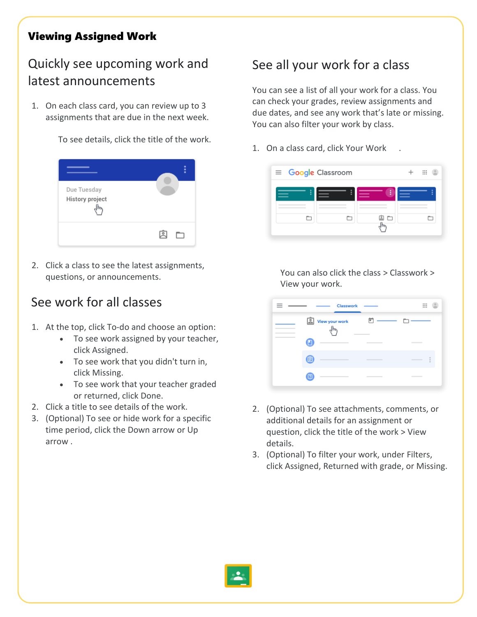#### Viewing Assigned Work

## Quickly see upcoming work and latest announcements

1. On each class card, you can review up to 3 assignments that are due in the next week.

To see details, click the title of the work.

| Due Tuesday<br>History project |  |
|--------------------------------|--|
|                                |  |

2. Click a class to see the latest assignments, questions, or announcements.

## See work for all classes

- 1. At the top, click To-do and choose an option:
	- To see work assigned by your teacher, click Assigned.
	- To see work that you didn't turn in, click Missing.
	- To see work that your teacher graded or returned, click Done.
- 2. Click a title to see details of the work.
- 3. (Optional) To see or hide work for a specific time period, click the Down arrow or Up arrow .

## See all your work for a class

You can see a list of all your work for a class. You can check your grades, review assignments and due dates, and see any work that's late or missing. You can also filter your work by class.

1. On a class card, click Your Work .



You can also click the class > Classwork > View your work.

| Classwork           |              | ₩                    |
|---------------------|--------------|----------------------|
| Ê<br>View your work | <u>ត ___</u> |                      |
|                     |              | ______               |
| È                   |              | $\frac{1}{2}$<br>___ |
|                     |              | $\frac{1}{2}$<br>-   |

- 2. (Optional) To see attachments, comments, or additional details for an assignment or question, click the title of the work > View details.
- 3. (Optional) To filter your work, under Filters, click Assigned, Returned with grade, or Missing.

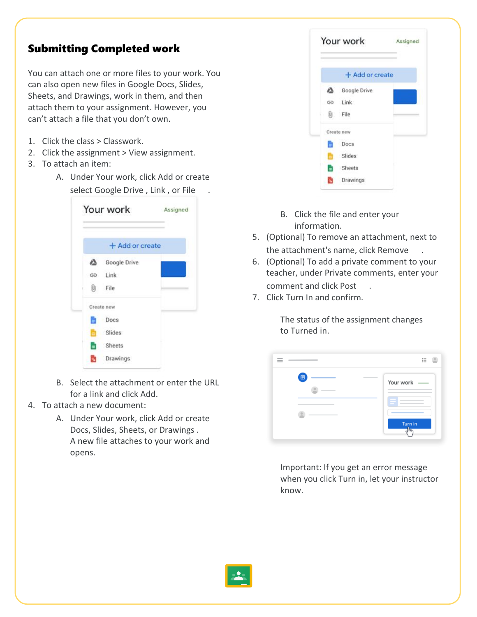#### Submitting Completed work

You can attach one or more files to your work. You can also open new files in Google Docs, Slides, Sheets, and Drawings, work in them, and then attach them to your assignment. However, you can't attach a file that you don't own.

- 1. Click the class > Classwork.
- 2. Click the assignment > View assignment.
- 3. To attach an item:
	- A. Under Your work, click Add or create select Google Drive, Link, or File



- B. Select the attachment or enter the URL for a link and click Add.
- 4. To attach a new document:
	- A. Under Your work, click Add or create Docs, Slides, Sheets, or Drawings . A new file attaches to your work and opens.

|   | Your work       | Assigned |
|---|-----------------|----------|
|   | + Add or create |          |
| Δ | Google Drive    |          |
|   | GD Link         |          |
|   | File            |          |
|   | Create new      |          |
|   | Docs            |          |
|   | Slides          |          |
|   | Sheets          |          |
|   | Drawings        |          |

- B. Click the file and enter your information.
- 5. (Optional) To remove an attachment, next to the attachment's name, click Remove .
- 6. (Optional) To add a private comment to your teacher, under Private comments, enter your comment and click Post .
- 7. Click Turn In and confirm.

The status of the assignment changes to Turned in.

|       | ₩                                                     |
|-------|-------------------------------------------------------|
| ▣<br> | -<br>Your work<br>$\sim$<br>$\sim$<br>Turn in<br>lin. |

Important: If you get an error message when you click Turn in, let your instructor know.